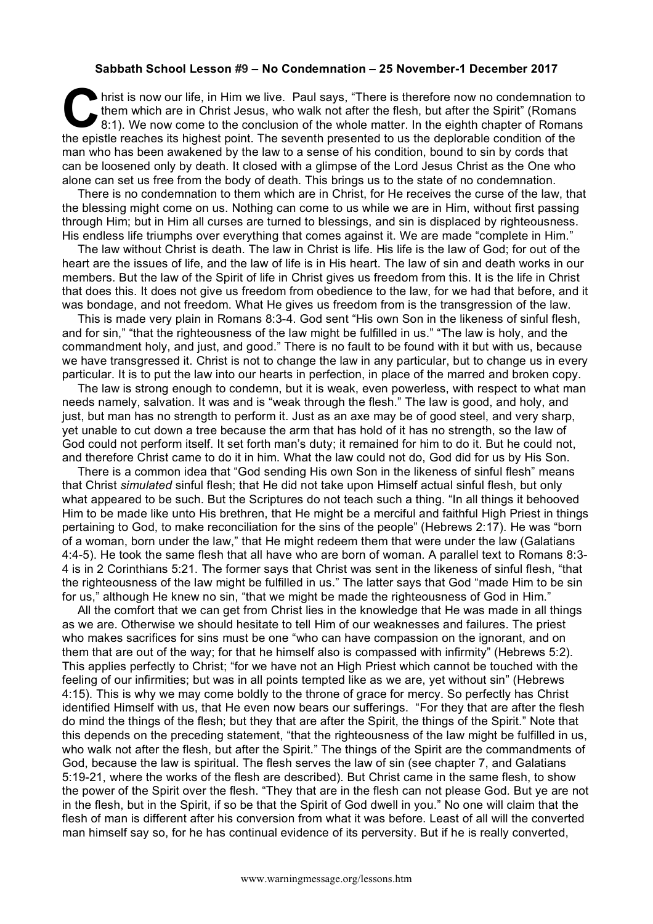## **Sabbath School Lesson #9 – No Condemnation – 25 November-1 December 2017**

hrist is now our life, in Him we live. Paul says, "There is therefore now no condemnation to them which are in Christ Jesus, who walk not after the flesh, but after the Spirit" (Romans 8:1). We now come to the conclusion of the whole matter. In the eighth chapter of Romans hrist is now our life, in Him we live. Paul says, "There is therefore now no condemnation them which are in Christ Jesus, who walk not after the flesh, but after the Spirit" (Romans 8:1). We now come to the conclusion of t man who has been awakened by the law to a sense of his condition, bound to sin by cords that can be loosened only by death. It closed with a glimpse of the Lord Jesus Christ as the One who alone can set us free from the body of death. This brings us to the state of no condemnation.

There is no condemnation to them which are in Christ, for He receives the curse of the law, that the blessing might come on us. Nothing can come to us while we are in Him, without first passing through Him; but in Him all curses are turned to blessings, and sin is displaced by righteousness. His endless life triumphs over everything that comes against it. We are made "complete in Him."

The law without Christ is death. The law in Christ is life. His life is the law of God; for out of the heart are the issues of life, and the law of life is in His heart. The law of sin and death works in our members. But the law of the Spirit of life in Christ gives us freedom from this. It is the life in Christ that does this. It does not give us freedom from obedience to the law, for we had that before, and it was bondage, and not freedom. What He gives us freedom from is the transgression of the law.

This is made very plain in Romans 8:3-4. God sent "His own Son in the likeness of sinful flesh, and for sin," "that the righteousness of the law might be fulfilled in us." "The law is holy, and the commandment holy, and just, and good." There is no fault to be found with it but with us, because we have transgressed it. Christ is not to change the law in any particular, but to change us in every particular. It is to put the law into our hearts in perfection, in place of the marred and broken copy.

The law is strong enough to condemn, but it is weak, even powerless, with respect to what man needs namely, salvation. It was and is "weak through the flesh." The law is good, and holy, and just, but man has no strength to perform it. Just as an axe may be of good steel, and very sharp, yet unable to cut down a tree because the arm that has hold of it has no strength, so the law of God could not perform itself. It set forth man's duty; it remained for him to do it. But he could not, and therefore Christ came to do it in him. What the law could not do, God did for us by His Son.

There is a common idea that "God sending His own Son in the likeness of sinful flesh" means that Christ *simulated* sinful flesh; that He did not take upon Himself actual sinful flesh, but only what appeared to be such. But the Scriptures do not teach such a thing. "In all things it behooved Him to be made like unto His brethren, that He might be a merciful and faithful High Priest in things pertaining to God, to make reconciliation for the sins of the people" (Hebrews 2:17). He was "born of a woman, born under the law," that He might redeem them that were under the law (Galatians 4:4-5). He took the same flesh that all have who are born of woman. A parallel text to Romans 8:3- 4 is in 2 Corinthians 5:21. The former says that Christ was sent in the likeness of sinful flesh, "that the righteousness of the law might be fulfilled in us." The latter says that God "made Him to be sin for us," although He knew no sin, "that we might be made the righteousness of God in Him."

All the comfort that we can get from Christ lies in the knowledge that He was made in all things as we are. Otherwise we should hesitate to tell Him of our weaknesses and failures. The priest who makes sacrifices for sins must be one "who can have compassion on the ignorant, and on them that are out of the way; for that he himself also is compassed with infirmity" (Hebrews 5:2). This applies perfectly to Christ; "for we have not an High Priest which cannot be touched with the feeling of our infirmities; but was in all points tempted like as we are, yet without sin" (Hebrews 4:15). This is why we may come boldly to the throne of grace for mercy. So perfectly has Christ identified Himself with us, that He even now bears our sufferings. "For they that are after the flesh do mind the things of the flesh; but they that are after the Spirit, the things of the Spirit." Note that this depends on the preceding statement, "that the righteousness of the law might be fulfilled in us, who walk not after the flesh, but after the Spirit." The things of the Spirit are the commandments of God, because the law is spiritual. The flesh serves the law of sin (see chapter 7, and Galatians 5:19-21, where the works of the flesh are described). But Christ came in the same flesh, to show the power of the Spirit over the flesh. "They that are in the flesh can not please God. But ye are not in the flesh, but in the Spirit, if so be that the Spirit of God dwell in you." No one will claim that the flesh of man is different after his conversion from what it was before. Least of all will the converted man himself say so, for he has continual evidence of its perversity. But if he is really converted,